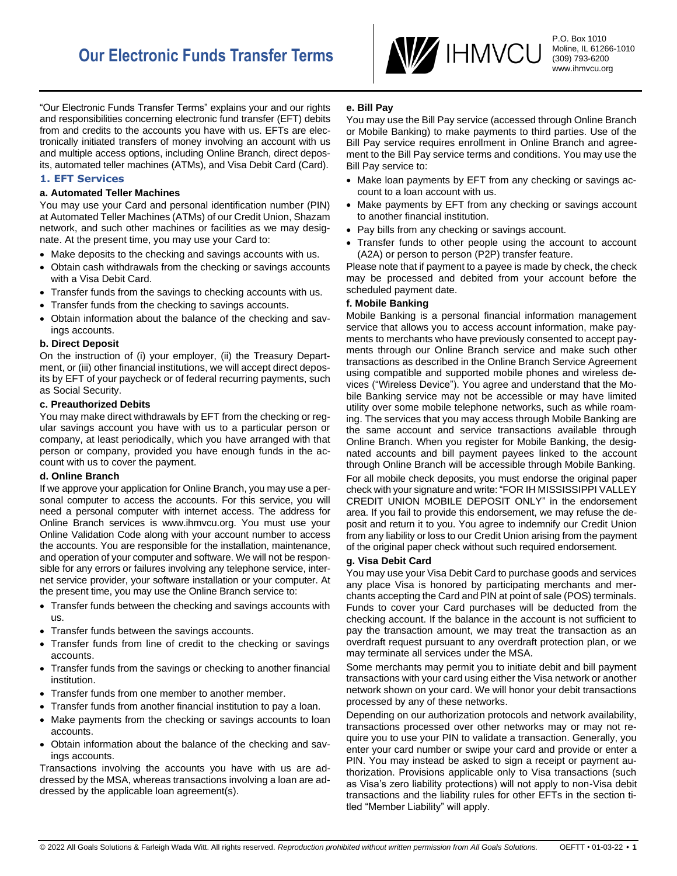

P.O. Box 1010 Moline, IL 61266-1010 (309) 793-6200 www.ihmvcu.org

"Our Electronic Funds Transfer Terms" explains your and our rights and responsibilities concerning electronic fund transfer (EFT) debits from and credits to the accounts you have with us. EFTs are electronically initiated transfers of money involving an account with us and multiple access options, including Online Branch, direct deposits, automated teller machines (ATMs), and Visa Debit Card (Card).

# **1. EFT Services**

## **a. Automated Teller Machines**

You may use your Card and personal identification number (PIN) at Automated Teller Machines (ATMs) of our Credit Union, Shazam network, and such other machines or facilities as we may designate. At the present time, you may use your Card to:

- Make deposits to the checking and savings accounts with us.
- Obtain cash withdrawals from the checking or savings accounts with a Visa Debit Card.
- Transfer funds from the savings to checking accounts with us.
- Transfer funds from the checking to savings accounts.
- Obtain information about the balance of the checking and savings accounts.

### **b. Direct Deposit**

On the instruction of (i) your employer, (ii) the Treasury Department, or (iii) other financial institutions, we will accept direct deposits by EFT of your paycheck or of federal recurring payments, such as Social Security.

### **c. Preauthorized Debits**

You may make direct withdrawals by EFT from the checking or regular savings account you have with us to a particular person or company, at least periodically, which you have arranged with that person or company, provided you have enough funds in the account with us to cover the payment.

# **d. Online Branch**

If we approve your application for Online Branch, you may use a personal computer to access the accounts. For this service, you will need a personal computer with internet access. The address for Online Branch services is www.ihmvcu.org. You must use your Online Validation Code along with your account number to access the accounts. You are responsible for the installation, maintenance, and operation of your computer and software. We will not be responsible for any errors or failures involving any telephone service, internet service provider, your software installation or your computer. At the present time, you may use the Online Branch service to:

- Transfer funds between the checking and savings accounts with us.
- Transfer funds between the savings accounts.
- Transfer funds from line of credit to the checking or savings accounts.
- Transfer funds from the savings or checking to another financial institution.
- Transfer funds from one member to another member.
- Transfer funds from another financial institution to pay a loan.
- Make payments from the checking or savings accounts to loan accounts.
- Obtain information about the balance of the checking and savings accounts.

Transactions involving the accounts you have with us are addressed by the MSA, whereas transactions involving a loan are addressed by the applicable loan agreement(s).

## **e. Bill Pay**

You may use the Bill Pay service (accessed through Online Branch or Mobile Banking) to make payments to third parties. Use of the Bill Pay service requires enrollment in Online Branch and agreement to the Bill Pay service terms and conditions. You may use the Bill Pay service to:

- Make loan payments by EFT from any checking or savings account to a loan account with us.
- Make payments by EFT from any checking or savings account to another financial institution.
- Pay bills from any checking or savings account.
- Transfer funds to other people using the account to account (A2A) or person to person (P2P) transfer feature.

Please note that if payment to a payee is made by check, the check may be processed and debited from your account before the scheduled payment date.

### **f. Mobile Banking**

Mobile Banking is a personal financial information management service that allows you to access account information, make payments to merchants who have previously consented to accept payments through our Online Branch service and make such other transactions as described in the Online Branch Service Agreement using compatible and supported mobile phones and wireless devices ("Wireless Device"). You agree and understand that the Mobile Banking service may not be accessible or may have limited utility over some mobile telephone networks, such as while roaming. The services that you may access through Mobile Banking are the same account and service transactions available through Online Branch. When you register for Mobile Banking, the designated accounts and bill payment payees linked to the account through Online Branch will be accessible through Mobile Banking.

For all mobile check deposits, you must endorse the original paper check with your signature and write: "FOR IH MISSISSIPPI VALLEY CREDIT UNION MOBILE DEPOSIT ONLY" in the endorsement area. If you fail to provide this endorsement, we may refuse the deposit and return it to you. You agree to indemnify our Credit Union from any liability or loss to our Credit Union arising from the payment of the original paper check without such required endorsement.

# **g. Visa Debit Card**

You may use your Visa Debit Card to purchase goods and services any place Visa is honored by participating merchants and merchants accepting the Card and PIN at point of sale (POS) terminals. Funds to cover your Card purchases will be deducted from the checking account. If the balance in the account is not sufficient to pay the transaction amount, we may treat the transaction as an overdraft request pursuant to any overdraft protection plan, or we may terminate all services under the MSA.

Some merchants may permit you to initiate debit and bill payment transactions with your card using either the Visa network or another network shown on your card. We will honor your debit transactions processed by any of these networks.

Depending on our authorization protocols and network availability, transactions processed over other networks may or may not require you to use your PIN to validate a transaction. Generally, you enter your card number or swipe your card and provide or enter a PIN. You may instead be asked to sign a receipt or payment authorization. Provisions applicable only to Visa transactions (such as Visa's zero liability protections) will not apply to non-Visa debit transactions and the liability rules for other EFTs in the section titled "Member Liability" will apply.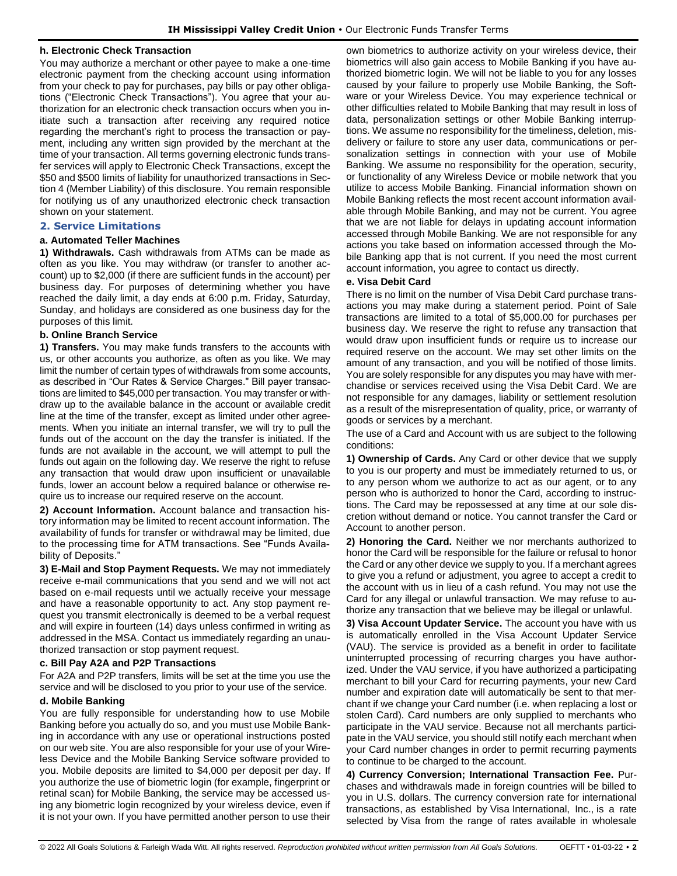## **h. Electronic Check Transaction**

You may authorize a merchant or other payee to make a one-time electronic payment from the checking account using information from your check to pay for purchases, pay bills or pay other obligations ("Electronic Check Transactions"). You agree that your authorization for an electronic check transaction occurs when you initiate such a transaction after receiving any required notice regarding the merchant's right to process the transaction or payment, including any written sign provided by the merchant at the time of your transaction. All terms governing electronic funds transfer services will apply to Electronic Check Transactions, except the \$50 and \$500 limits of liability for unauthorized transactions in Section 4 (Member Liability) of this disclosure. You remain responsible for notifying us of any unauthorized electronic check transaction shown on your statement.

# **2. Service Limitations**

# **a. Automated Teller Machines**

**1) Withdrawals.** Cash withdrawals from ATMs can be made as often as you like. You may withdraw (or transfer to another account) up to \$2,000 (if there are sufficient funds in the account) per business day. For purposes of determining whether you have reached the daily limit, a day ends at 6:00 p.m. Friday, Saturday, Sunday, and holidays are considered as one business day for the purposes of this limit.

### **b. Online Branch Service**

**1) Transfers.** You may make funds transfers to the accounts with us, or other accounts you authorize, as often as you like. We may limit the number of certain types of withdrawals from some accounts, as described in "Our Rates & Service Charges." Bill payer transactions are limited to \$45,000 per transaction. You may transfer or withdraw up to the available balance in the account or available credit line at the time of the transfer, except as limited under other agreements. When you initiate an internal transfer, we will try to pull the funds out of the account on the day the transfer is initiated. If the funds are not available in the account, we will attempt to pull the funds out again on the following day. We reserve the right to refuse any transaction that would draw upon insufficient or unavailable funds, lower an account below a required balance or otherwise require us to increase our required reserve on the account.

**2) Account Information.** Account balance and transaction history information may be limited to recent account information. The availability of funds for transfer or withdrawal may be limited, due to the processing time for ATM transactions. See "Funds Availability of Deposits.'

**3) E-Mail and Stop Payment Requests.** We may not immediately receive e-mail communications that you send and we will not act based on e-mail requests until we actually receive your message and have a reasonable opportunity to act. Any stop payment request you transmit electronically is deemed to be a verbal request and will expire in fourteen (14) days unless confirmed in writing as addressed in the MSA. Contact us immediately regarding an unauthorized transaction or stop payment request.

### **c. Bill Pay A2A and P2P Transactions**

For A2A and P2P transfers, limits will be set at the time you use the service and will be disclosed to you prior to your use of the service.

# **d. Mobile Banking**

You are fully responsible for understanding how to use Mobile Banking before you actually do so, and you must use Mobile Banking in accordance with any use or operational instructions posted on our web site. You are also responsible for your use of your Wireless Device and the Mobile Banking Service software provided to you. Mobile deposits are limited to \$4,000 per deposit per day. If you authorize the use of biometric login (for example, fingerprint or retinal scan) for Mobile Banking, the service may be accessed using any biometric login recognized by your wireless device, even if it is not your own. If you have permitted another person to use their own biometrics to authorize activity on your wireless device, their biometrics will also gain access to Mobile Banking if you have authorized biometric login. We will not be liable to you for any losses caused by your failure to properly use Mobile Banking, the Software or your Wireless Device. You may experience technical or other difficulties related to Mobile Banking that may result in loss of data, personalization settings or other Mobile Banking interruptions. We assume no responsibility for the timeliness, deletion, misdelivery or failure to store any user data, communications or personalization settings in connection with your use of Mobile Banking. We assume no responsibility for the operation, security, or functionality of any Wireless Device or mobile network that you utilize to access Mobile Banking. Financial information shown on Mobile Banking reflects the most recent account information available through Mobile Banking, and may not be current. You agree that we are not liable for delays in updating account information accessed through Mobile Banking. We are not responsible for any actions you take based on information accessed through the Mobile Banking app that is not current. If you need the most current account information, you agree to contact us directly.

### **e. Visa Debit Card**

There is no limit on the number of Visa Debit Card purchase transactions you may make during a statement period. Point of Sale transactions are limited to a total of \$5,000.00 for purchases per business day. We reserve the right to refuse any transaction that would draw upon insufficient funds or require us to increase our required reserve on the account. We may set other limits on the amount of any transaction, and you will be notified of those limits. You are solely responsible for any disputes you may have with merchandise or services received using the Visa Debit Card. We are not responsible for any damages, liability or settlement resolution as a result of the misrepresentation of quality, price, or warranty of goods or services by a merchant.

The use of a Card and Account with us are subject to the following conditions:

**1) Ownership of Cards.** Any Card or other device that we supply to you is our property and must be immediately returned to us, or to any person whom we authorize to act as our agent, or to any person who is authorized to honor the Card, according to instructions. The Card may be repossessed at any time at our sole discretion without demand or notice. You cannot transfer the Card or Account to another person.

**2) Honoring the Card.** Neither we nor merchants authorized to honor the Card will be responsible for the failure or refusal to honor the Card or any other device we supply to you. If a merchant agrees to give you a refund or adjustment, you agree to accept a credit to the account with us in lieu of a cash refund. You may not use the Card for any illegal or unlawful transaction. We may refuse to authorize any transaction that we believe may be illegal or unlawful.

**3) Visa Account Updater Service.** The account you have with us is automatically enrolled in the Visa Account Updater Service (VAU). The service is provided as a benefit in order to facilitate uninterrupted processing of recurring charges you have authorized. Under the VAU service, if you have authorized a participating merchant to bill your Card for recurring payments, your new Card number and expiration date will automatically be sent to that merchant if we change your Card number (i.e. when replacing a lost or stolen Card). Card numbers are only supplied to merchants who participate in the VAU service. Because not all merchants participate in the VAU service, you should still notify each merchant when your Card number changes in order to permit recurring payments to continue to be charged to the account.

**4) Currency Conversion; International Transaction Fee.** Purchases and withdrawals made in foreign countries will be billed to you in U.S. dollars. The currency conversion rate for international transactions, as established by Visa International, Inc., is a rate selected by Visa from the range of rates available in wholesale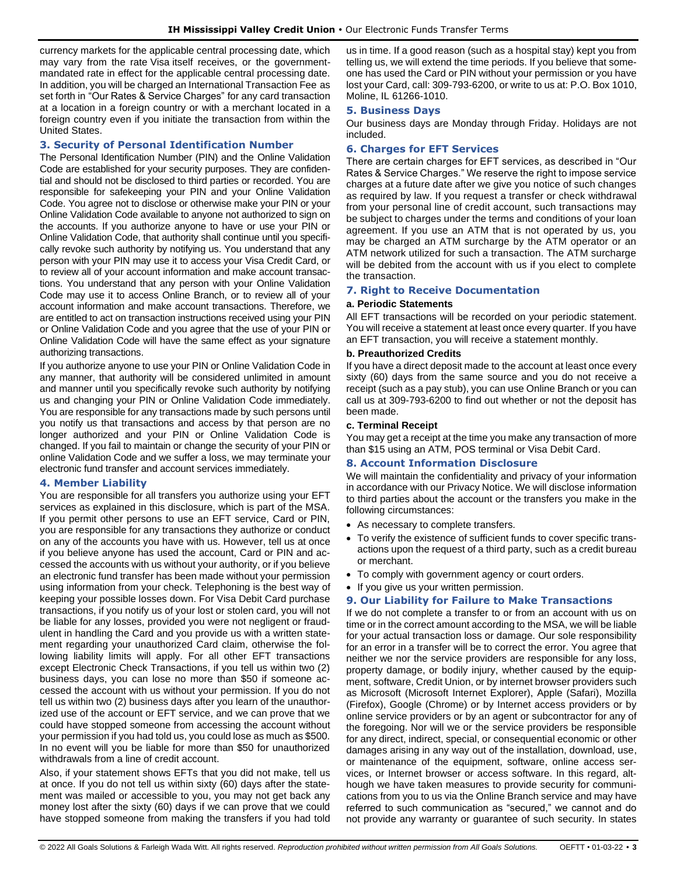currency markets for the applicable central processing date, which may vary from the rate Visa itself receives, or the governmentmandated rate in effect for the applicable central processing date. In addition, you will be charged an International Transaction Fee as set forth in "Our Rates & Service Charges" for any card transaction at a location in a foreign country or with a merchant located in a foreign country even if you initiate the transaction from within the United States.

# **3. Security of Personal Identification Number**

The Personal Identification Number (PIN) and the Online Validation Code are established for your security purposes. They are confidential and should not be disclosed to third parties or recorded. You are responsible for safekeeping your PIN and your Online Validation Code. You agree not to disclose or otherwise make your PIN or your Online Validation Code available to anyone not authorized to sign on the accounts. If you authorize anyone to have or use your PIN or Online Validation Code, that authority shall continue until you specifically revoke such authority by notifying us. You understand that any person with your PIN may use it to access your Visa Credit Card, or to review all of your account information and make account transactions. You understand that any person with your Online Validation Code may use it to access Online Branch, or to review all of your account information and make account transactions. Therefore, we are entitled to act on transaction instructions received using your PIN or Online Validation Code and you agree that the use of your PIN or Online Validation Code will have the same effect as your signature authorizing transactions.

If you authorize anyone to use your PIN or Online Validation Code in any manner, that authority will be considered unlimited in amount and manner until you specifically revoke such authority by notifying us and changing your PIN or Online Validation Code immediately. You are responsible for any transactions made by such persons until you notify us that transactions and access by that person are no longer authorized and your PIN or Online Validation Code is changed. If you fail to maintain or change the security of your PIN or online Validation Code and we suffer a loss, we may terminate your electronic fund transfer and account services immediately.

# **4. Member Liability**

You are responsible for all transfers you authorize using your EFT services as explained in this disclosure, which is part of the MSA. If you permit other persons to use an EFT service, Card or PIN, you are responsible for any transactions they authorize or conduct on any of the accounts you have with us. However, tell us at once if you believe anyone has used the account, Card or PIN and accessed the accounts with us without your authority, or if you believe an electronic fund transfer has been made without your permission using information from your check. Telephoning is the best way of keeping your possible losses down. For Visa Debit Card purchase transactions, if you notify us of your lost or stolen card, you will not be liable for any losses, provided you were not negligent or fraudulent in handling the Card and you provide us with a written statement regarding your unauthorized Card claim, otherwise the following liability limits will apply. For all other EFT transactions except Electronic Check Transactions, if you tell us within two (2) business days, you can lose no more than \$50 if someone accessed the account with us without your permission. If you do not tell us within two (2) business days after you learn of the unauthorized use of the account or EFT service, and we can prove that we could have stopped someone from accessing the account without your permission if you had told us, you could lose as much as \$500. In no event will you be liable for more than \$50 for unauthorized withdrawals from a line of credit account.

Also, if your statement shows EFTs that you did not make, tell us at once. If you do not tell us within sixty (60) days after the statement was mailed or accessible to you, you may not get back any money lost after the sixty (60) days if we can prove that we could have stopped someone from making the transfers if you had told us in time. If a good reason (such as a hospital stay) kept you from telling us, we will extend the time periods. If you believe that someone has used the Card or PIN without your permission or you have lost your Card, call: 309-793-6200, or write to us at: P.O. Box 1010, Moline, IL 61266-1010.

## **5. Business Days**

Our business days are Monday through Friday. Holidays are not included.

# **6. Charges for EFT Services**

There are certain charges for EFT services, as described in "Our Rates & Service Charges." We reserve the right to impose service charges at a future date after we give you notice of such changes as required by law. If you request a transfer or check withdrawal from your personal line of credit account, such transactions may be subject to charges under the terms and conditions of your loan agreement. If you use an ATM that is not operated by us, you may be charged an ATM surcharge by the ATM operator or an ATM network utilized for such a transaction. The ATM surcharge will be debited from the account with us if you elect to complete the transaction.

# **7. Right to Receive Documentation**

## **a. Periodic Statements**

All EFT transactions will be recorded on your periodic statement. You will receive a statement at least once every quarter. If you have an EFT transaction, you will receive a statement monthly.

### **b. Preauthorized Credits**

If you have a direct deposit made to the account at least once every sixty (60) days from the same source and you do not receive a receipt (such as a pay stub), you can use Online Branch or you can call us at 309-793-6200 to find out whether or not the deposit has been made.

### **c. Terminal Receipt**

You may get a receipt at the time you make any transaction of more than \$15 using an ATM, POS terminal or Visa Debit Card.

# **8. Account Information Disclosure**

We will maintain the confidentiality and privacy of your information in accordance with our Privacy Notice. We will disclose information to third parties about the account or the transfers you make in the following circumstances:

- As necessary to complete transfers.
- To verify the existence of sufficient funds to cover specific transactions upon the request of a third party, such as a credit bureau or merchant.
- To comply with government agency or court orders.
- If you give us your written permission.

# **9. Our Liability for Failure to Make Transactions**

If we do not complete a transfer to or from an account with us on time or in the correct amount according to the MSA, we will be liable for your actual transaction loss or damage. Our sole responsibility for an error in a transfer will be to correct the error. You agree that neither we nor the service providers are responsible for any loss, property damage, or bodily injury, whether caused by the equipment, software, Credit Union, or by internet browser providers such as Microsoft (Microsoft Internet Explorer), Apple (Safari), Mozilla (Firefox), Google (Chrome) or by Internet access providers or by online service providers or by an agent or subcontractor for any of the foregoing. Nor will we or the service providers be responsible for any direct, indirect, special, or consequential economic or other damages arising in any way out of the installation, download, use, or maintenance of the equipment, software, online access services, or Internet browser or access software. In this regard, although we have taken measures to provide security for communications from you to us via the Online Branch service and may have referred to such communication as "secured," we cannot and do not provide any warranty or guarantee of such security. In states